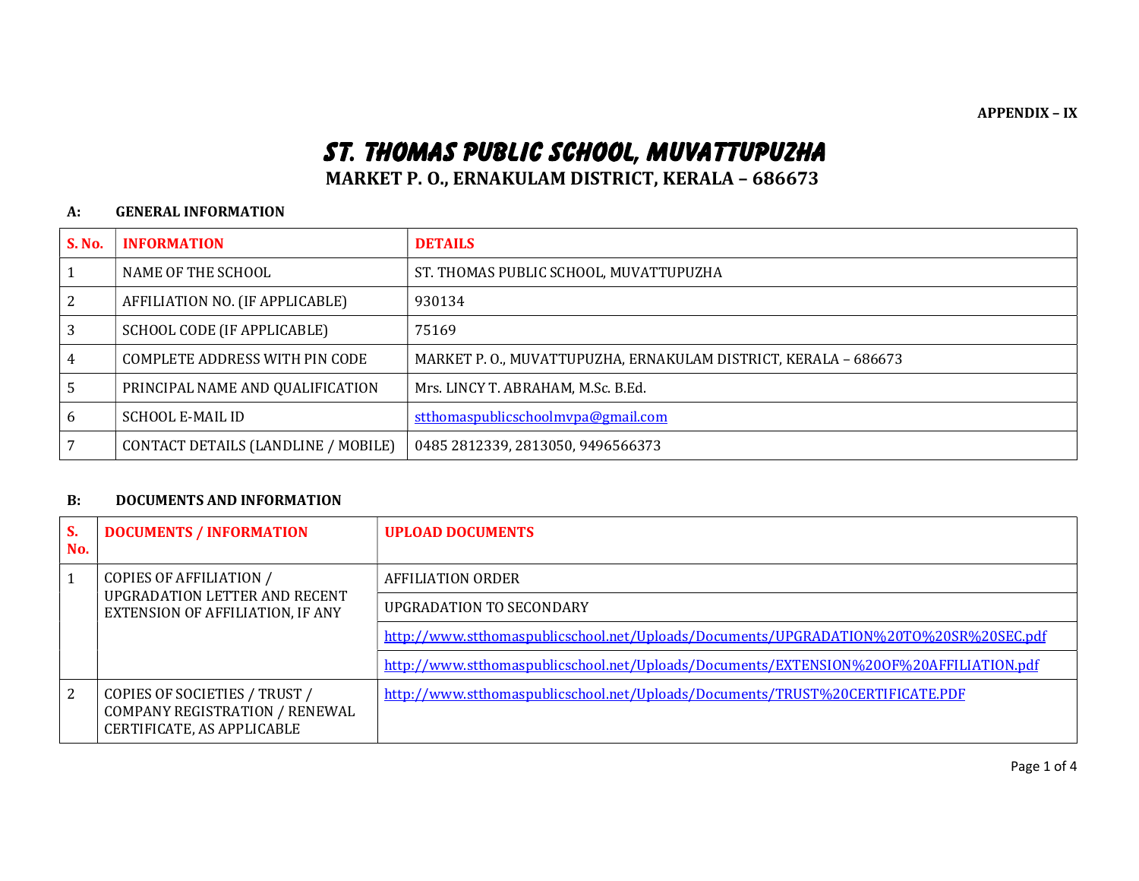APPENDIX – IX

# ST. THOMAS PUBLIC SCHOOL, MUVATTUPUZHA

MARKET P. O., ERNAKULAM DISTRICT, KERALA – 686673

#### A: GENERAL INFORMATION

| <b>S. No.</b>  | <b>INFORMATION</b>                   | <b>DETAILS</b>                                                  |  |
|----------------|--------------------------------------|-----------------------------------------------------------------|--|
|                | NAME OF THE SCHOOL                   | ST. THOMAS PUBLIC SCHOOL, MUVATTUPUZHA                          |  |
| 2              | AFFILIATION NO. (IF APPLICABLE)      | 930134                                                          |  |
| 3              | SCHOOL CODE (IF APPLICABLE)<br>75169 |                                                                 |  |
| $\overline{4}$ | COMPLETE ADDRESS WITH PIN CODE       | MARKET P. O., MUVATTUPUZHA, ERNAKULAM DISTRICT, KERALA - 686673 |  |
| -5             | PRINCIPAL NAME AND QUALIFICATION     | Mrs. LINCY T. ABRAHAM, M.Sc. B.Ed.                              |  |
| 6              | <b>SCHOOL E-MAIL ID</b>              | stthomaspublicschoolmypa@gmail.com                              |  |
| 17             | CONTACT DETAILS (LANDLINE / MOBILE)  | 0485 2812339, 2813050, 9496566373                               |  |

#### B: DOCUMENTS AND INFORMATION

| S.<br>No. | <b>DOCUMENTS / INFORMATION</b>                                                                             | <b>UPLOAD DOCUMENTS</b>                                                                |  |
|-----------|------------------------------------------------------------------------------------------------------------|----------------------------------------------------------------------------------------|--|
|           | <b>COPIES OF AFFILIATION /</b><br>UPGRADATION LETTER AND RECENT<br><b>EXTENSION OF AFFILIATION, IF ANY</b> | <b>AFFILIATION ORDER</b>                                                               |  |
|           |                                                                                                            | UPGRADATION TO SECONDARY                                                               |  |
|           |                                                                                                            | http://www.stthomaspublicschool.net/Uploads/Documents/UPGRADATION%20T0%20SR%20SEC.pdf  |  |
|           |                                                                                                            | http://www.stthomaspublicschool.net/Uploads/Documents/EXTENSION%200F%20AFFILIATION.pdf |  |
| 2         | COPIES OF SOCIETIES / TRUST /<br>COMPANY REGISTRATION / RENEWAL<br>CERTIFICATE, AS APPLICABLE              | http://www.stthomaspublicschool.net/Uploads/Documents/TRUST%20CERTIFICATE.PDF          |  |

Page 1 of 4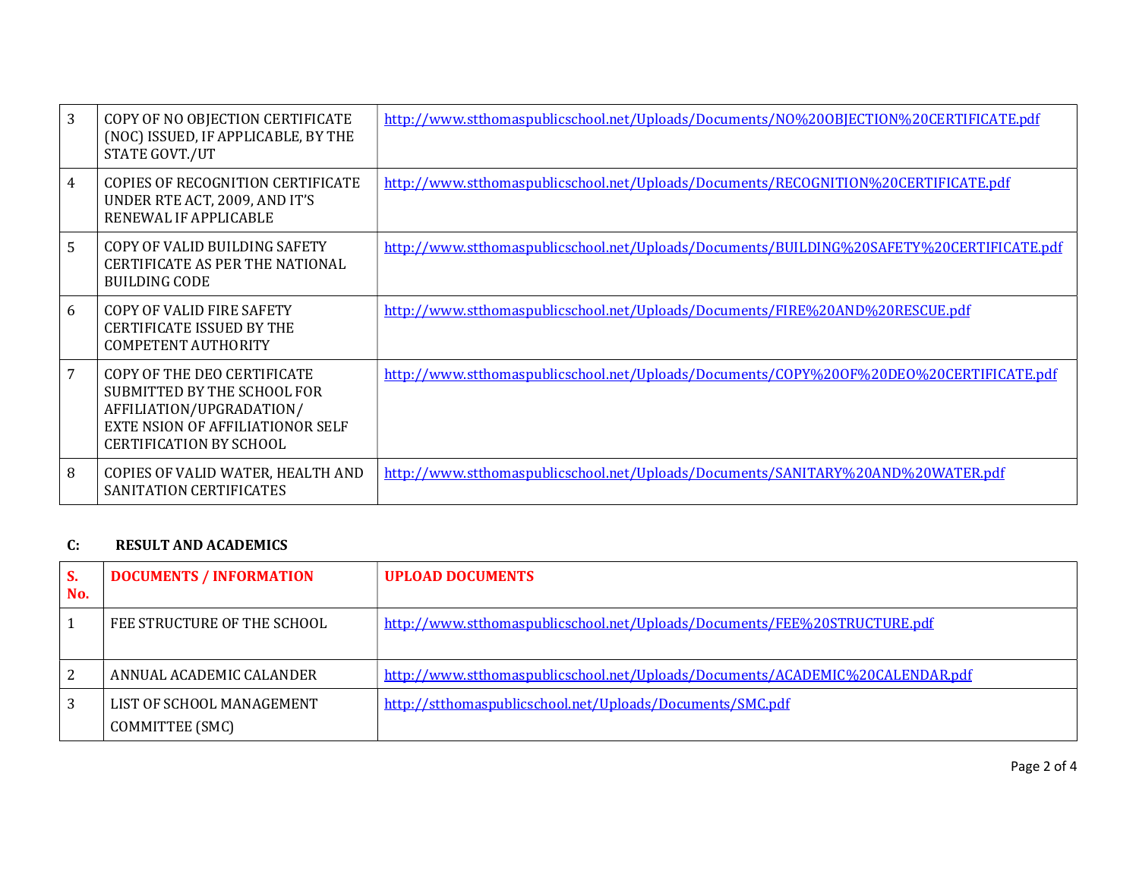| 3              | COPY OF NO OBJECTION CERTIFICATE<br>(NOC) ISSUED, IF APPLICABLE, BY THE<br>STATE GOVT./UT                                                                           | http://www.stthomaspublicschool.net/Uploads/Documents/NO%200BJECTION%20CERTIFICATE.pdf    |
|----------------|---------------------------------------------------------------------------------------------------------------------------------------------------------------------|-------------------------------------------------------------------------------------------|
| $\overline{4}$ | <b>COPIES OF RECOGNITION CERTIFICATE</b><br>UNDER RTE ACT, 2009, AND IT'S<br>RENEWAL IF APPLICABLE                                                                  | http://www.stthomaspublicschool.net/Uploads/Documents/RECOGNITION%20CERTIFICATE.pdf       |
| 5              | COPY OF VALID BUILDING SAFETY<br><b>CERTIFICATE AS PER THE NATIONAL</b><br><b>BUILDING CODE</b>                                                                     | http://www.stthomaspublicschool.net/Uploads/Documents/BUILDING%20SAFETY%20CERTIFICATE.pdf |
| 6              | COPY OF VALID FIRE SAFETY<br><b>CERTIFICATE ISSUED BY THE</b><br><b>COMPETENT AUTHORITY</b>                                                                         | http://www.stthomaspublicschool.net/Uploads/Documents/FIRE%20AND%20RESCUE.pdf             |
| $\overline{7}$ | COPY OF THE DEO CERTIFICATE<br>SUBMITTED BY THE SCHOOL FOR<br>AFFILIATION/UPGRADATION/<br><b>EXTE NSION OF AFFILIATIONOR SELF</b><br><b>CERTIFICATION BY SCHOOL</b> | http://www.stthomaspublicschool.net/Uploads/Documents/COPY%200F%20DEO%20CERTIFICATE.pdf   |
| 8              | COPIES OF VALID WATER, HEALTH AND<br>SANITATION CERTIFICATES                                                                                                        | http://www.stthomaspublicschool.net/Uploads/Documents/SANITARY%20AND%20WATER.pdf          |

## C: RESULT AND ACADEMICS

| S.<br>No. | <b>DOCUMENTS / INFORMATION</b>               | <b>UPLOAD DOCUMENTS</b>                                                       |
|-----------|----------------------------------------------|-------------------------------------------------------------------------------|
|           | FEE STRUCTURE OF THE SCHOOL                  | http://www.stthomaspublicschool.net/Uploads/Documents/FEE%20STRUCTURE.pdf     |
| 2         | ANNUAL ACADEMIC CALANDER                     | http://www.stthomaspublicschool.net/Uploads/Documents/ACADEMIC%20CALENDAR.pdf |
| 3         | LIST OF SCHOOL MANAGEMENT<br>COMMITTEE (SMC) | http://stthomaspublicschool.net/Uploads/Documents/SMC.pdf                     |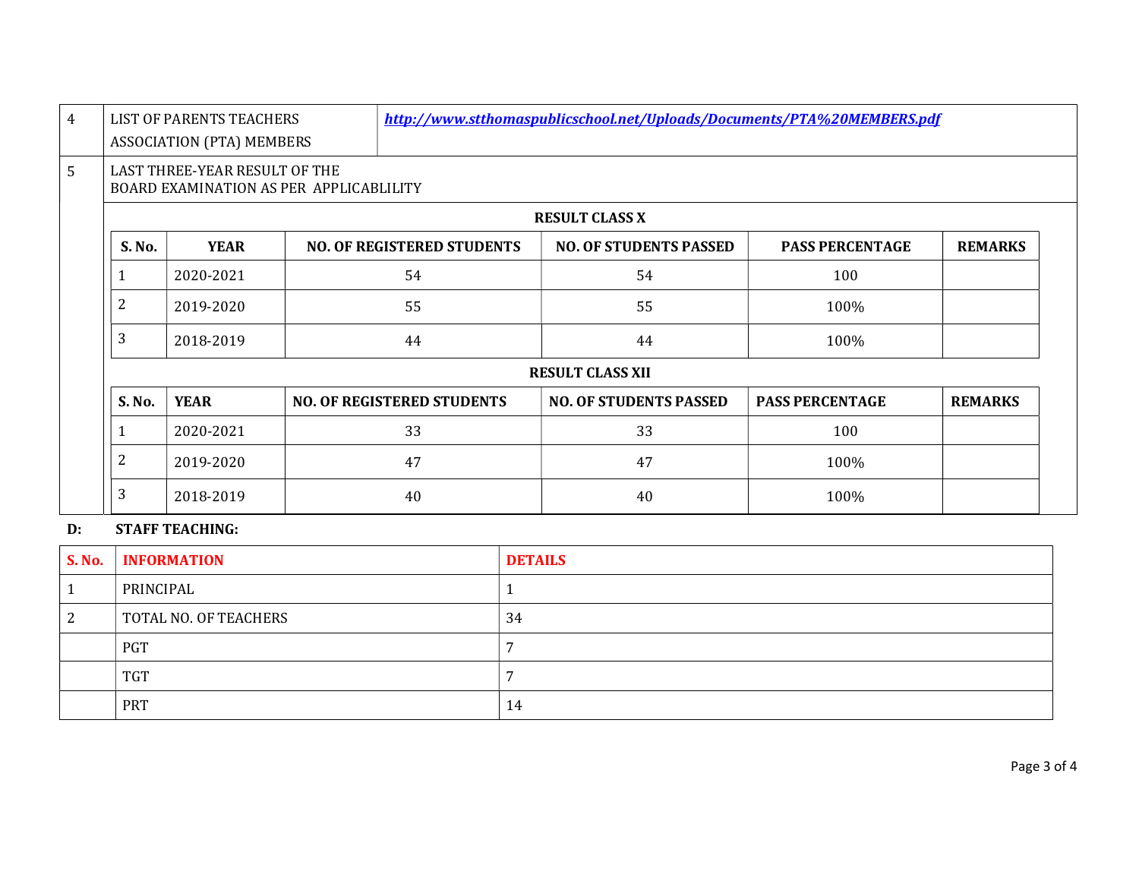|                                                                          | LIST OF PARENTS TEACHERS         |    | http://www.stthomaspublicschool.net/Uploads/Documents/PTA%20MEMBERS.pdf |                               |                        |                |
|--------------------------------------------------------------------------|----------------------------------|----|-------------------------------------------------------------------------|-------------------------------|------------------------|----------------|
|                                                                          | <b>ASSOCIATION (PTA) MEMBERS</b> |    |                                                                         |                               |                        |                |
| LAST THREE-YEAR RESULT OF THE<br>BOARD EXAMINATION AS PER APPLICABLILITY |                                  |    |                                                                         |                               |                        |                |
| <b>RESULT CLASS X</b>                                                    |                                  |    |                                                                         |                               |                        |                |
| S. No.                                                                   | <b>YEAR</b>                      |    | <b>NO. OF REGISTERED STUDENTS</b>                                       | <b>NO. OF STUDENTS PASSED</b> | <b>PASS PERCENTAGE</b> | <b>REMARKS</b> |
| 1                                                                        | 2020-2021                        |    | 54                                                                      | 54                            | 100                    |                |
| $\overline{2}$                                                           | 2019-2020                        | 55 |                                                                         | 55                            | 100%                   |                |
| 3                                                                        | 2018-2019                        |    | 44                                                                      | 44                            | 100%                   |                |
| <b>RESULT CLASS XII</b>                                                  |                                  |    |                                                                         |                               |                        |                |
| S. No.                                                                   | <b>YEAR</b>                      |    | <b>NO. OF REGISTERED STUDENTS</b>                                       | <b>NO. OF STUDENTS PASSED</b> | <b>PASS PERCENTAGE</b> | <b>REMARKS</b> |
| 1                                                                        | 2020-2021                        |    | 33                                                                      | 33                            | 100                    |                |
| $\overline{2}$                                                           | 2019-2020                        |    | 47                                                                      | 47                            | 100%                   |                |
| 3                                                                        | 2018-2019                        |    | 40                                                                      | 40                            | 100%                   |                |

# D: STAFF TEACHING:

| <b>S. No.</b> | <b>INFORMATION</b>    | <b>DETAILS</b> |
|---------------|-----------------------|----------------|
|               | PRINCIPAL             |                |
| ▵             | TOTAL NO. OF TEACHERS | 34             |
|               | <b>PGT</b>            |                |
|               | <b>TGT</b>            |                |
|               | <b>PRT</b>            | 14             |